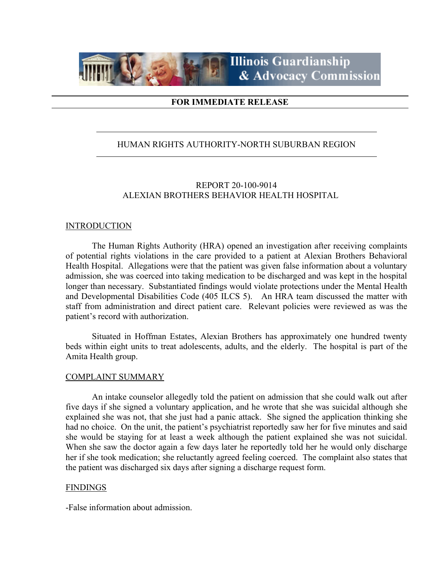

# **FOR IMMEDIATE RELEASE**

## HUMAN RIGHTS AUTHORITY-NORTH SUBURBAN REGION

# REPORT 20-100-9014 ALEXIAN BROTHERS BEHAVIOR HEALTH HOSPITAL

#### **INTRODUCTION**

The Human Rights Authority (HRA) opened an investigation after receiving complaints of potential rights violations in the care provided to a patient at Alexian Brothers Behavioral Health Hospital. Allegations were that the patient was given false information about a voluntary admission, she was coerced into taking medication to be discharged and was kept in the hospital longer than necessary. Substantiated findings would violate protections under the Mental Health and Developmental Disabilities Code (405 ILCS 5). An HRA team discussed the matter with staff from administration and direct patient care. Relevant policies were reviewed as was the patient's record with authorization.

Situated in Hoffman Estates, Alexian Brothers has approximately one hundred twenty beds within eight units to treat adolescents, adults, and the elderly. The hospital is part of the Amita Health group.

#### COMPLAINT SUMMARY

An intake counselor allegedly told the patient on admission that she could walk out after five days if she signed a voluntary application, and he wrote that she was suicidal although she explained she was not, that she just had a panic attack. She signed the application thinking she had no choice. On the unit, the patient's psychiatrist reportedly saw her for five minutes and said she would be staying for at least a week although the patient explained she was not suicidal. When she saw the doctor again a few days later he reportedly told her he would only discharge her if she took medication; she reluctantly agreed feeling coerced. The complaint also states that the patient was discharged six days after signing a discharge request form.

#### FINDINGS

-False information about admission.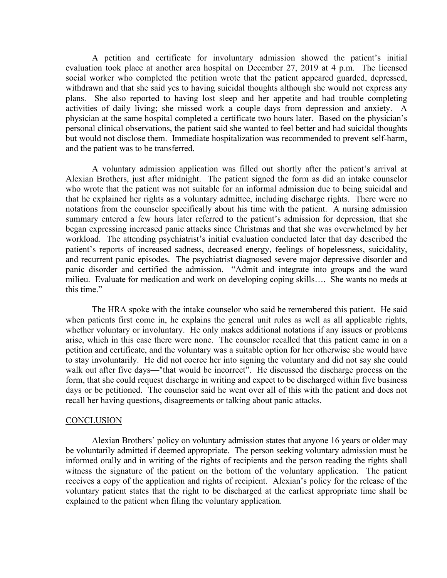A petition and certificate for involuntary admission showed the patient's initial evaluation took place at another area hospital on December 27, 2019 at 4 p.m. The licensed social worker who completed the petition wrote that the patient appeared guarded, depressed, withdrawn and that she said yes to having suicidal thoughts although she would not express any plans. She also reported to having lost sleep and her appetite and had trouble completing activities of daily living; she missed work a couple days from depression and anxiety. A physician at the same hospital completed a certificate two hours later. Based on the physician's personal clinical observations, the patient said she wanted to feel better and had suicidal thoughts but would not disclose them. Immediate hospitalization was recommended to prevent self-harm, and the patient was to be transferred.

A voluntary admission application was filled out shortly after the patient's arrival at Alexian Brothers, just after midnight. The patient signed the form as did an intake counselor who wrote that the patient was not suitable for an informal admission due to being suicidal and that he explained her rights as a voluntary admittee, including discharge rights. There were no notations from the counselor specifically about his time with the patient. A nursing admission summary entered a few hours later referred to the patient's admission for depression, that she began expressing increased panic attacks since Christmas and that she was overwhelmed by her workload. The attending psychiatrist's initial evaluation conducted later that day described the patient's reports of increased sadness, decreased energy, feelings of hopelessness, suicidality, and recurrent panic episodes. The psychiatrist diagnosed severe major depressive disorder and panic disorder and certified the admission. "Admit and integrate into groups and the ward milieu. Evaluate for medication and work on developing coping skills…. She wants no meds at this time."

The HRA spoke with the intake counselor who said he remembered this patient. He said when patients first come in, he explains the general unit rules as well as all applicable rights, whether voluntary or involuntary. He only makes additional notations if any issues or problems arise, which in this case there were none. The counselor recalled that this patient came in on a petition and certificate, and the voluntary was a suitable option for her otherwise she would have to stay involuntarily. He did not coerce her into signing the voluntary and did not say she could walk out after five days—"that would be incorrect". He discussed the discharge process on the form, that she could request discharge in writing and expect to be discharged within five business days or be petitioned. The counselor said he went over all of this with the patient and does not recall her having questions, disagreements or talking about panic attacks.

#### **CONCLUSION**

Alexian Brothers' policy on voluntary admission states that anyone 16 years or older may be voluntarily admitted if deemed appropriate. The person seeking voluntary admission must be informed orally and in writing of the rights of recipients and the person reading the rights shall witness the signature of the patient on the bottom of the voluntary application. The patient receives a copy of the application and rights of recipient. Alexian's policy for the release of the voluntary patient states that the right to be discharged at the earliest appropriate time shall be explained to the patient when filing the voluntary application.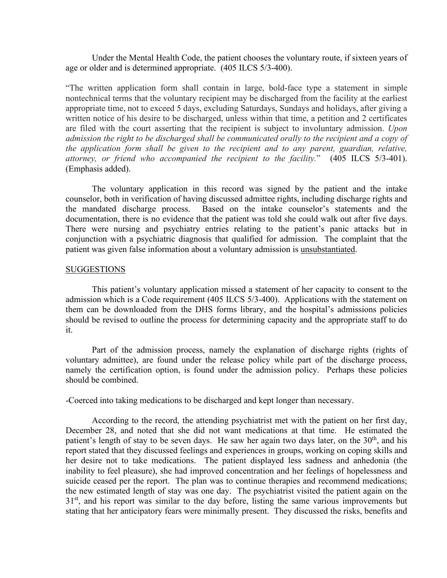Under the Mental Health Code, the patient chooses the voluntary route, if sixteen years of age or older and is determined appropriate. (405 ILCS 5/3-400).

"The written application form shall contain in large, bold-face type a statement in simple nontechnical terms that the voluntary recipient may be discharged from the facility at the earliest appropriate time, not to exceed 5 days, excluding Saturdays, Sundays and holidays, after giving a written notice of his desire to be discharged, unless within that time, a petition and 2 certificates are filed with the court asserting that the recipient is subject to involuntary admission. *Upon admission the right to be discharged shall be communicated orally to the recipient and a copy of the application form shall be given to the recipient and to any parent, guardian, relative, attorney, or friend who accompanied the recipient to the facility.*" (405 ILCS 5/3-401). (Emphasis added).

The voluntary application in this record was signed by the patient and the intake counselor, both in verification of having discussed admittee rights, including discharge rights and the mandated discharge process. Based on the intake counselor's statements and the documentation, there is no evidence that the patient was told she could walk out after five days. There were nursing and psychiatry entries relating to the patient's panic attacks but in conjunction with a psychiatric diagnosis that qualified for admission. The complaint that the patient was given false information about a voluntary admission is unsubstantiated.

#### **SUGGESTIONS**

This patient's voluntary application missed a statement of her capacity to consent to the admission which is a Code requirement (405 ILCS 5/3-400). Applications with the statement on them can be downloaded from the DHS forms library, and the hospital's admissions policies should be revised to outline the process for determining capacity and the appropriate staff to do it.

Part of the admission process, namely the explanation of discharge rights (rights of voluntary admittee), are found under the release policy while part of the discharge process, namely the certification option, is found under the admission policy. Perhaps these policies should be combined.

-Coerced into taking medications to be discharged and kept longer than necessary.

According to the record, the attending psychiatrist met with the patient on her first day, December 28, and noted that she did not want medications at that time. He estimated the patient's length of stay to be seven days. He saw her again two days later, on the  $30<sup>th</sup>$ , and his report stated that they discussed feelings and experiences in groups, working on coping skills and her desire not to take medications. The patient displayed less sadness and anhedonia (the inability to feel pleasure), she had improved concentration and her feelings of hopelessness and suicide ceased per the report. The plan was to continue therapies and recommend medications; the new estimated length of stay was one day. The psychiatrist visited the patient again on the  $31<sup>st</sup>$ , and his report was similar to the day before, listing the same various improvements but stating that her anticipatory fears were minimally present. They discussed the risks, benefits and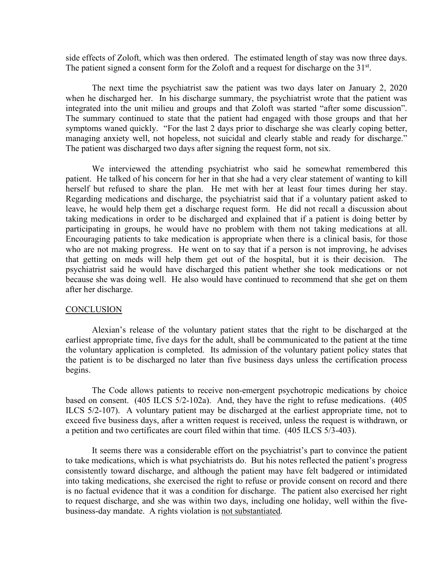side effects of Zoloft, which was then ordered. The estimated length of stay was now three days. The patient signed a consent form for the Zoloft and a request for discharge on the 31<sup>st</sup>.

The next time the psychiatrist saw the patient was two days later on January 2, 2020 when he discharged her. In his discharge summary, the psychiatrist wrote that the patient was integrated into the unit milieu and groups and that Zoloft was started "after some discussion". The summary continued to state that the patient had engaged with those groups and that her symptoms waned quickly. "For the last 2 days prior to discharge she was clearly coping better, managing anxiety well, not hopeless, not suicidal and clearly stable and ready for discharge." The patient was discharged two days after signing the request form, not six.

We interviewed the attending psychiatrist who said he somewhat remembered this patient. He talked of his concern for her in that she had a very clear statement of wanting to kill herself but refused to share the plan. He met with her at least four times during her stay. Regarding medications and discharge, the psychiatrist said that if a voluntary patient asked to leave, he would help them get a discharge request form. He did not recall a discussion about taking medications in order to be discharged and explained that if a patient is doing better by participating in groups, he would have no problem with them not taking medications at all. Encouraging patients to take medication is appropriate when there is a clinical basis, for those who are not making progress. He went on to say that if a person is not improving, he advises that getting on meds will help them get out of the hospital, but it is their decision. The psychiatrist said he would have discharged this patient whether she took medications or not because she was doing well. He also would have continued to recommend that she get on them after her discharge.

#### **CONCLUSION**

Alexian's release of the voluntary patient states that the right to be discharged at the earliest appropriate time, five days for the adult, shall be communicated to the patient at the time the voluntary application is completed. Its admission of the voluntary patient policy states that the patient is to be discharged no later than five business days unless the certification process begins.

The Code allows patients to receive non-emergent psychotropic medications by choice based on consent. (405 ILCS 5/2-102a). And, they have the right to refuse medications. (405 ILCS 5/2-107). A voluntary patient may be discharged at the earliest appropriate time, not to exceed five business days, after a written request is received, unless the request is withdrawn, or a petition and two certificates are court filed within that time. (405 ILCS 5/3-403).

It seems there was a considerable effort on the psychiatrist's part to convince the patient to take medications, which is what psychiatrists do. But his notes reflected the patient's progress consistently toward discharge, and although the patient may have felt badgered or intimidated into taking medications, she exercised the right to refuse or provide consent on record and there is no factual evidence that it was a condition for discharge. The patient also exercised her right to request discharge, and she was within two days, including one holiday, well within the fivebusiness-day mandate. A rights violation is not substantiated.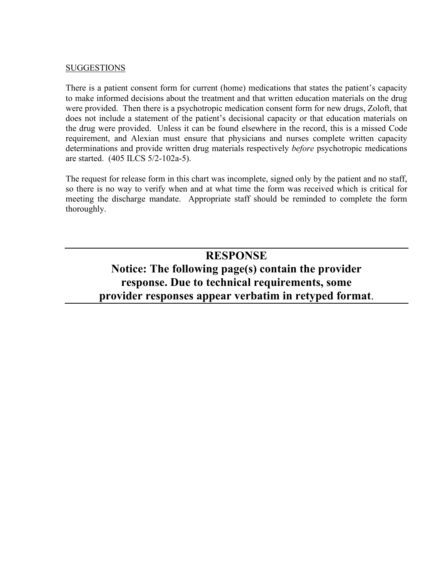# SUGGESTIONS

There is a patient consent form for current (home) medications that states the patient's capacity to make informed decisions about the treatment and that written education materials on the drug were provided. Then there is a psychotropic medication consent form for new drugs, Zoloft, that does not include a statement of the patient's decisional capacity or that education materials on the drug were provided. Unless it can be found elsewhere in the record, this is a missed Code requirement, and Alexian must ensure that physicians and nurses complete written capacity determinations and provide written drug materials respectively *before* psychotropic medications are started. (405 ILCS 5/2-102a-5).

The request for release form in this chart was incomplete, signed only by the patient and no staff, so there is no way to verify when and at what time the form was received which is critical for meeting the discharge mandate. Appropriate staff should be reminded to complete the form thoroughly.

# **RESPONSE Notice: The following page(s) contain the provider response. Due to technical requirements, some provider responses appear verbatim in retyped format**.